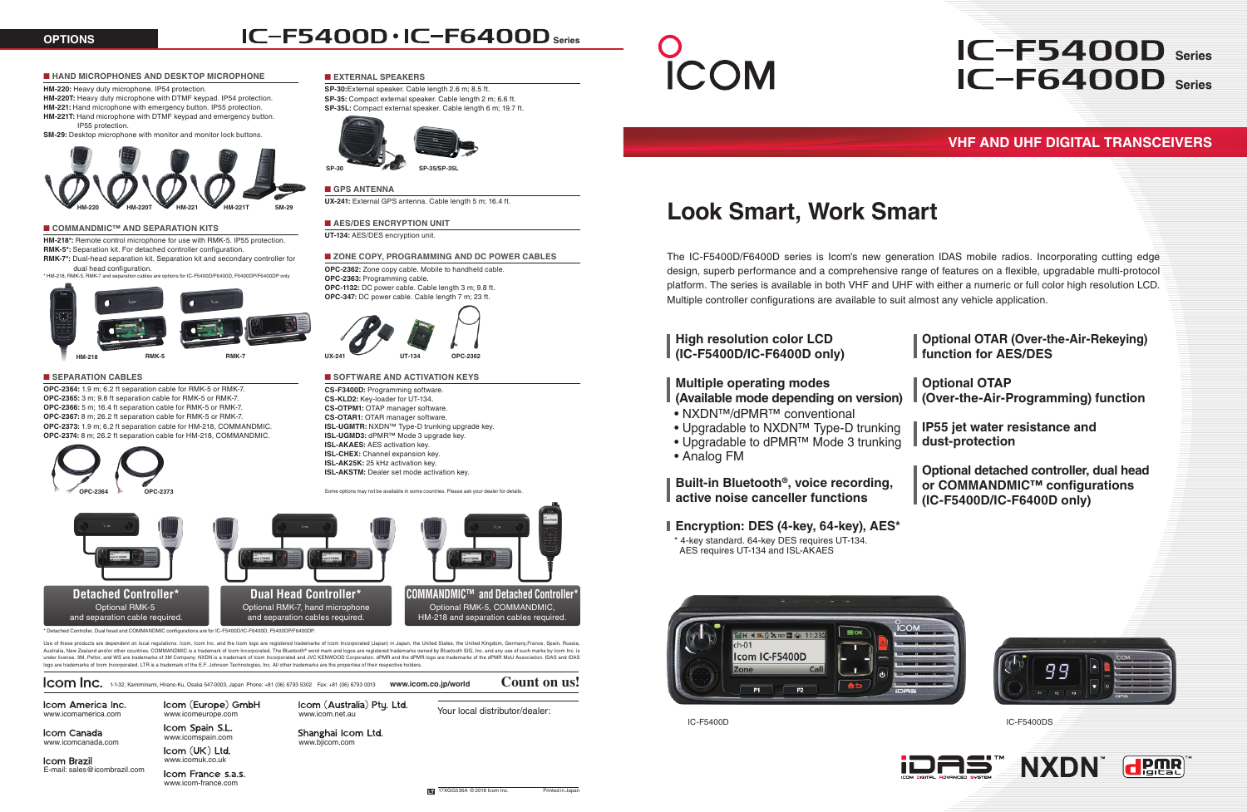1-1-32, Kamiminami, Hirano-Ku, Osaka 547-0003, Japan Phone: +81 (06) 6793 5302 Fax: +81 (06) 6793 0013 **www.icom.co.jp/world Count on us!**

Icom America Inc.

Icom France s.a.s. www.icom-france.com

Icom (Australia) Pty. Ltd.

**Icom Brazil** www.icomuk.co.uk E-mail: sales@icombrazil.com

Icom (Europe) GmbH www.icomamerica.com www.icomeurope.com www.icomeurope.com www.icom.net.au www.icomeurope.com

Icom Spain S.L. Icom Canada<br>
www.icomcanada.com vww.icomspain.com<br>
Icom (UK) Ltd.

www.bjicom.com

Shanghai Icom Ltd.

Your local distributor/dealer



# **IC-F5400D · IC-F6400D** series

**CS-F3400D:** Programming software. **CS-KLD2:** Key-loader for UT-134. **CS-OTPM1:** OTAP manager software. **CS-OTAR1:** OTAR manager software. **ISL-UGMTR:** NXDN™ Type-D trunking upgrade key. **ISL-UGMD3:** dPMR™ Mode 3 upgrade key. **ISL-AKAES:** AES activation key. **ISL-CHEX:** Channel expansion key. **ISL-AK25K:** 25 kHz activation key. **ISL-AKSTM:** Dealer set mode activation key.

**HM-218\*:** Remote control microphone for use with RMK-5. IP55 protection. **RMK-5\*:** Separation kit. For detached controller configuration

Some options may not be available in some countries. Please ask your dealer for details.

# ■ **HAND MICROPHONES AND DESKTOP MICROPHONE**

## **HM-220:** Heavy duty microphone. IP54 protection.

**HM-220T:** Heavy duty microphone with DTMF keypad. IP54 protection. **HM-221:** Hand microphone with emergency button. IP55 protection. **HM-221T:** Hand microphone with DTMF keypad and emergency button. IP55 protection.

**SM-29:** Desktop microphone with monitor and monitor lock buttons.



Use of these products are dependent on local regulations. Icom, Icom Inc. and the Icom logo are registered trademarks of Icom Incorporated (Japan) in Japan, the United States, the United Kingdom, Germany, France, Spain, Ru Australia, New Zealand and/or other countries, COMMANDMIC is a trademark of loom Incorporated. The Bluetooth® word mark and loops are registered trademarks owned by Bluetooth SIG. Inc. and any use of such marks by Icom Inc under license. 3M, Peltor, and WS are trademarks of 3M Company. NXDN is a trademark of Icom Incorporated and JVC KENWOOD Corporation. dPMR and the dPMR logo are trademarks of the dPMR MoU Association. IDAS and IDAS logo are trademarks of Icom Incorporated. LTR is a trademark of the E.F. Johnson Technologies, Inc. All other trademarks are the properties of their respective holders.

**RMK-7\*:** Dual-head separation kit. Separation kit and secondary controller for dual head configuration.



# ■ **SEPARATION CABLES**

**OPC-2364:** 1.9 m; 6.2 ft separation cable for RMK-5 or RMK-7. **OPC-2365:** 3 m; 9.8 ft separation cable for RMK-5 or RMK-7. **OPC-2366:** 5 m; 16.4 ft separation cable for RMK-5 or RMK-7. **OPC-2367:** 8 m; 26.2 ft separation cable for RMK-5 or RMK-7. **OPC-2373:** 1.9 m; 6.2 ft separation cable for HM-218, COMMANDMIC. **OPC-2374:** 8 m; 26.2 ft separation cable for HM-218, COMMANDMIC.





## ■ **COMMANDMIC™ AND SEPARATION KITS**

# ■ **GPS ANTENNA**

**UX-241:** External GPS antenna. Cable length 5 m; 16.4 ft.

# ■ **AES/DES ENCRYPTION UNIT**

**UT-134:** AES/DES encryption unit.

## ■ **ZONE COPY, PROGRAMMING AND DC POWER CABLES**

**OPC-2362:** Zone copy cable. Mobile to handheld cable. **OPC-2363:** Programming cable. **OPC-1132:** DC power cable. Cable length 3 m; 9.8 ft. **OPC-347:** DC power cable. Cable length 7 m; 23 ft.



## ■ **SOFTWARE AND ACTIVATION KEYS**

\* HM-218, RMK-5, RMK-7 and separation cables are options for IC-F5400D/F6400D, F5400DP/F6400DP only

# ■ **EXTERNAL SPEAKERS**

**SP-30:**External speaker. Cable length 2.6 m; 8.5 ft. **SP-35:** Compact external speaker. Cable length 2 m; 6.6 ft. **SP-35L:** Compact external speaker. Cable length 6 m; 19.7 ft.







# **IC-F6400D** Series **IC-F5400D** Series

The IC-F5400D/F6400D series is Icom's new generation IDAS mobile radios. Incorporating cutting edge design, superb performance and a comprehensive range of features on a flexible, upgradable multi-protocol platform. The series is available in both VHF and UHF with either a numeric or full color high resolution LCD. Multiple controller configurations are available to suit almost any vehicle application.

# **High resolution color LCD (IC-F5400D/IC-F6400D only)**

**Optional OTAR (Over-the-Air-Rekeying) function for AES/DES**

**Optional OTAP (Over-the-Air-Programming) function**

**IP55 jet water resistance and dust-protection**

**Optional detached controller, dual head or COMMANDMIC™ configurations (IC-F5400D/IC-F6400D only)**

# **Multiple operating modes**

**(Available mode depending on version)**

- NXDN™/dPMR™ conventional
- Upgradable to NXDN™ Type-D trunking
- Upgradable to dPMR™ Mode 3 trunking
- Analog FM

**Built-in Bluetooth®, voice recording, active noise canceller functions**

# **Encryption: DES (4-key, 64-key), AES\***

\* 4-key standard. 64-key DES requires UT-134. AES requires UT-134 and ISL-AKAES

# **Look Smart, Work Smart**

# **VHF AND UHF DIGITAL TRANSCEIVERS**